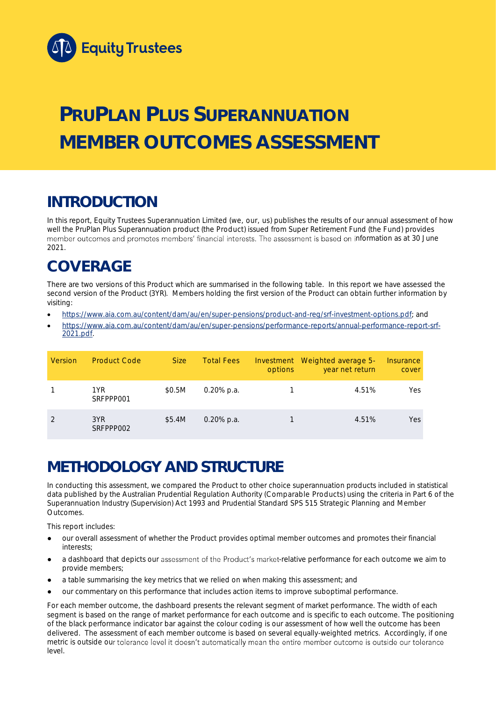

# **PRUPLAN PLUS SUPERANNUATION MEMBER OUTCOMES ASSESSMENT**

## **INTRODUCTION**

In this report, Equity Trustees Superannuation Limited (we, our, us) publishes the results of our annual assessment of how well the PruPlan Plus Superannuation product (the Product) issued from Super Retirement Fund (the Fund) provides member outcomes and promotes members' financial interests. The assessment is based on information as at 30 June 2021.

## **COVERAGE**

There are two versions of this Product which are summarised in the following table. In this report we have assessed the second version of the Product (3YR). Members holding the first version of the Product can obtain further information by visiting:

- [https://www.aia.com.au/content/dam/au/en/super-pensions/product-and-reg/srf-investment-options.pdf;](https://www.aia.com.au/content/dam/au/en/super-pensions/product-and-reg/srf-investment-options.pdf) and
- [https://www.aia.com.au/content/dam/au/en/super-pensions/performance-reports/annual-performance-report-srf-](https://www.aia.com.au/content/dam/au/en/super-pensions/performance-reports/annual-performance-report-srf-2021.pdf)[2021.pdf.](https://www.aia.com.au/content/dam/au/en/super-pensions/performance-reports/annual-performance-report-srf-2021.pdf)

| Version | <b>Product Code</b> | <b>Size</b> | <b>Total Fees</b> | options | Investment Weighted average 5-<br>year net return | Insurance<br>cover |
|---------|---------------------|-------------|-------------------|---------|---------------------------------------------------|--------------------|
|         | 1YR<br>SRFPPP001    | \$0.5M      | $0.20\%$ p.a.     |         | 4.51%                                             | Yes                |
|         | 3YR<br>SRFPPP002    | \$5.4M      | $0.20\%$ p.a.     |         | 4.51%                                             | Yes                |

## **METHODOLOGY AND STRUCTURE**

In conducting this assessment, we compared the Product to other choice superannuation products included in statistical data published by the Australian Prudential Regulation Authority (Comparable Products) using the criteria in Part 6 of the *Superannuation Industry (Supervision) Act 1993* and Prudential Standard SPS 515 *Strategic Planning and Member Outcomes*.

This report includes:

- our overall assessment of whether the Product provides optimal member outcomes and promotes their financial interests;
- a dashboard that depicts our assessment of the Product's market-relative performance for each outcome we aim to provide members;
- a table summarising the key metrics that we relied on when making this assessment; and
- our commentary on this performance that includes action items to improve suboptimal performance.

For each member outcome, the dashboard presents the relevant segment of market performance. The width of each segment is based on the range of market performance for each outcome and is specific to each outcome. The positioning of the black performance indicator bar against the colour coding is our assessment of how well the outcome has been delivered. The assessment of each member outcome is based on several equally-weighted metrics. Accordingly, if one metric is outside our tolerance level it doesn't automatically mean the entire member outcome is outside our tolerance level.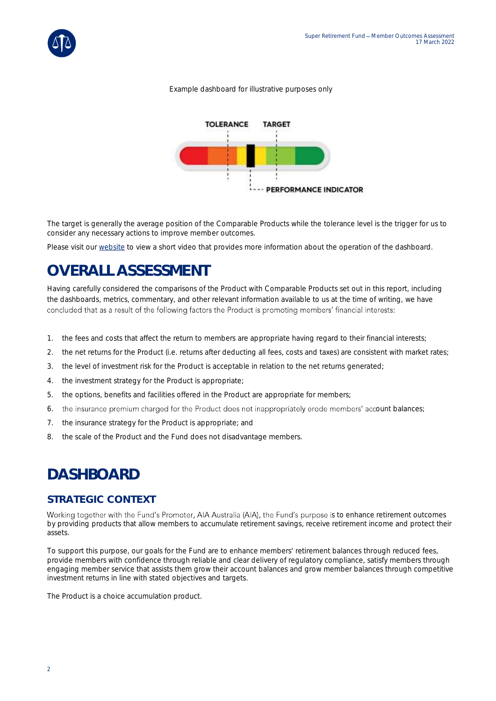#### *Example dashboard for illustrative purposes only*



The target is generally the average position of the Comparable Products while the tolerance level is the trigger for us to consider any necessary actions to improve member outcomes.

Please visit our [website](https://www.eqt.com.au/superannuation) to view a short video that provides more information about the operation of the dashboard.

## **OVERALL ASSESSMENT**

Having carefully considered the comparisons of the Product with Comparable Products set out in this report, including the dashboards, metrics, commentary, and other relevant information available to us at the time of writing, we have concluded that as a result of the following factors the Product is promoting members' financial interests:

- 1. the fees and costs that affect the return to members are appropriate having regard to their financial interests;
- 2. the net returns for the Product (i.e. returns after deducting all fees, costs and taxes) are consistent with market rates;
- 3. the level of investment risk for the Product is acceptable in relation to the net returns generated;
- 4. the investment strategy for the Product is appropriate;
- 5. the options, benefits and facilities offered in the Product are appropriate for members;
- 6. the insurance premium charged for the Product does not inappropriately erode members' account balances;
- 7. the insurance strategy for the Product is appropriate; and
- 8. the scale of the Product and the Fund does not disadvantage members.

## **DASHBOARD**

### **STRATEGIC CONTEXT**

Working together with the Fund's Promoter, AIA Australia (AIA), the Fund's purpose is to enhance retirement outcomes by providing products that allow members to accumulate retirement savings, receive retirement income and protect their assets.

To support this purpose, our goals for the Fund are to enhance members' retirement balances through reduced fees, provide members with confidence through reliable and clear delivery of regulatory compliance, satisfy members through engaging member service that assists them grow their account balances and grow member balances through competitive investment returns in line with stated objectives and targets.

The Product is a choice accumulation product.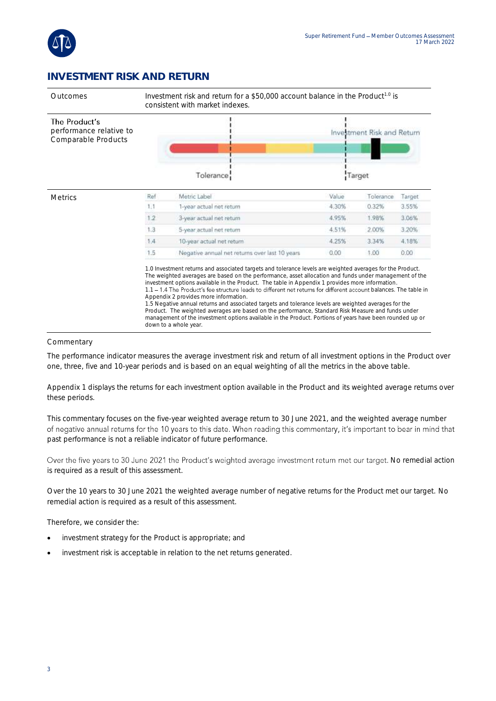

### **INVESTMENT RISK AND RETURN**



#### Commentary

The performance indicator measures the average investment risk and return of all investment options in the Product over one, three, five and 10-year periods and is based on an equal weighting of all the metrics in the above table.

Appendix 1 displays the returns for each investment option available in the Product and its weighted average returns over these periods.

This commentary focuses on the five-year weighted average return to 30 June 2021, and the weighted average number of negative annual returns for the 10 years to this date. When reading this commentary, it's important to bear in mind that past performance is not a reliable indicator of future performance.

Over the five years to 30 June 2021 the Product's weighted average investment return met our target. No remedial action is required as a result of this assessment.

Over the 10 years to 30 June 2021 the weighted average number of negative returns for the Product met our target. No remedial action is required as a result of this assessment.

Therefore, we consider the:

- investment strategy for the Product is appropriate; and
- investment risk is acceptable in relation to the net returns generated.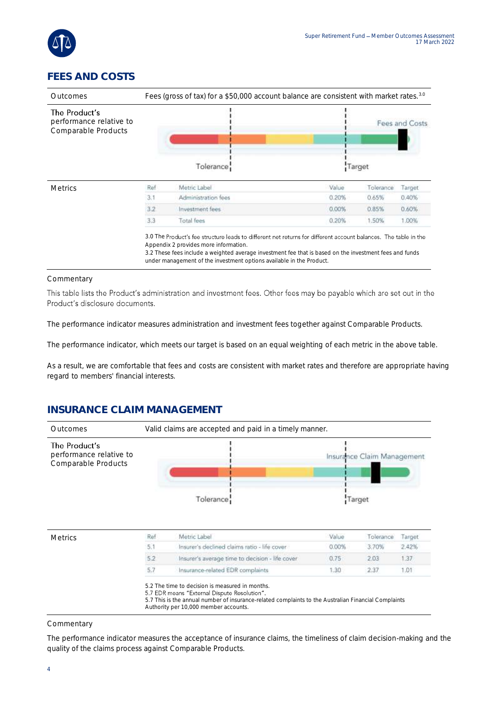

## **FEES AND COSTS**

| Outcomes                                                        | Fees (gross of tax) for a \$50,000 account balance are consistent with market rates. <sup>3.0</sup> |                                                                                                                                                                                                                                                                     |        |           |                |  |  |
|-----------------------------------------------------------------|-----------------------------------------------------------------------------------------------------|---------------------------------------------------------------------------------------------------------------------------------------------------------------------------------------------------------------------------------------------------------------------|--------|-----------|----------------|--|--|
| The Product's<br>performance relative to<br>Comparable Products |                                                                                                     |                                                                                                                                                                                                                                                                     |        |           | Fees and Costs |  |  |
|                                                                 |                                                                                                     | Tolerance:                                                                                                                                                                                                                                                          | Target |           |                |  |  |
| <b>Metrics</b>                                                  | Ref                                                                                                 | Metric Label                                                                                                                                                                                                                                                        | Value  | Tolerance | Target         |  |  |
|                                                                 | 3.1                                                                                                 | Administration fees                                                                                                                                                                                                                                                 | 0.20%  | 0.65%     | 0.40%          |  |  |
|                                                                 | 3.2                                                                                                 | Investment fees.                                                                                                                                                                                                                                                    | 0.00%  | 0.85%     | 0.60%          |  |  |
|                                                                 | 3.3                                                                                                 | Total fees                                                                                                                                                                                                                                                          | 0.20%  | 1.50%     | 1.00%          |  |  |
|                                                                 |                                                                                                     | 3.0 The Product's fee structure leads to different net returns for different account balances. The table in the<br>Appendix 2 provides more information.<br>3.2 These fees include a weighted average investment fee that is based on the investment fees and funds |        |           |                |  |  |

under management of the investment options available in the Product.

#### Commentary

This table lists the Product's administration and investment fees. Other fees may be payable which are set out in the Product's disclosure documents.

The performance indicator measures administration and investment fees together against Comparable Products.

The performance indicator, which meets our target is based on an equal weighting of each metric in the above table.

As a result, we are comfortable that fees and costs are consistent with market rates and therefore are appropriate having regard to members' financial interests.

### **INSURANCE CLAIM MANAGEMENT**



| <b>Metrics</b> | Ref    | Metric Label                                    | Value | Tolerance | Target |
|----------------|--------|-------------------------------------------------|-------|-----------|--------|
|                | 5.1    | Insurer's declined claims ratio - life cover    | 0.00% | 3.70%     | 2.42%  |
|                |        | Insurer's average time to decision - life cover | 0.75  | 2.03      |        |
|                | $-5.7$ | Insurance-related EDR complaints                | 1.30  |           | 1.01   |

5.2 The time to decision is measured in months.<br>5.7 EDR means "External Dispute Resolution".

5.7 This is the annual number of insurance-related complaints to the Australian Financial Complaints

Authority per 10,000 member accounts.

#### Commentary

The performance indicator measures the acceptance of insurance claims, the timeliness of claim decision-making and the quality of the claims process against Comparable Products.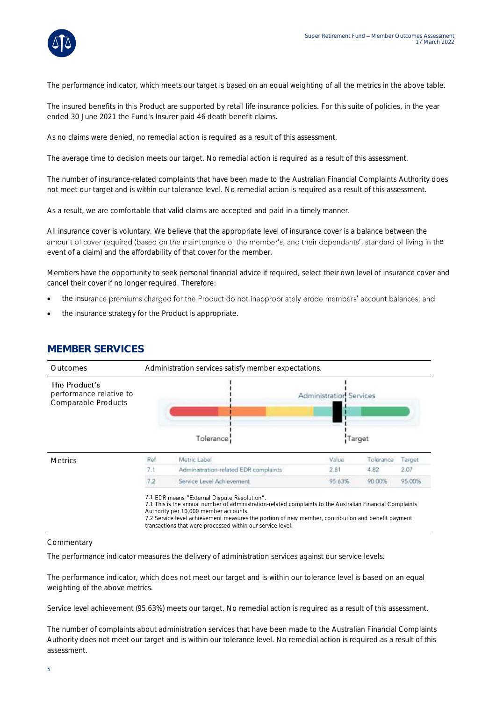

The performance indicator, which meets our target is based on an equal weighting of all the metrics in the above table.

The insured benefits in this Product are supported by retail life insurance policies. For this suite of policies, in the year ended 30 June 2021 the Fund's Insurer paid 46 death benefit claims.

As no claims were denied, no remedial action is required as a result of this assessment.

The average time to decision meets our target. No remedial action is required as a result of this assessment.

The number of insurance-related complaints that have been made to the Australian Financial Complaints Authority does not meet our target and is within our tolerance level. No remedial action is required as a result of this assessment.

As a result, we are comfortable that valid claims are accepted and paid in a timely manner.

All insurance cover is voluntary. We believe that the appropriate level of insurance cover is a balance between the amount of cover required (based on the maintenance of the member's, and their dependants', standard of living in the event of a claim) and the affordability of that cover for the member.

Members have the opportunity to seek personal financial advice if required, select their own level of insurance cover and cancel their cover if no longer required. Therefore:

- the insurance premiums charged for the Product do not inappropriately erode members' account balances; and
- the insurance strategy for the Product is appropriate.



### **MEMBER SERVICES**

#### Commentary

The performance indicator measures the delivery of administration services against our service levels.

The performance indicator, which does not meet our target and is within our tolerance level is based on an equal weighting of the above metrics.

Service level achievement (95.63%) meets our target. No remedial action is required as a result of this assessment.

The number of complaints about administration services that have been made to the Australian Financial Complaints Authority does not meet our target and is within our tolerance level. No remedial action is required as a result of this assessment.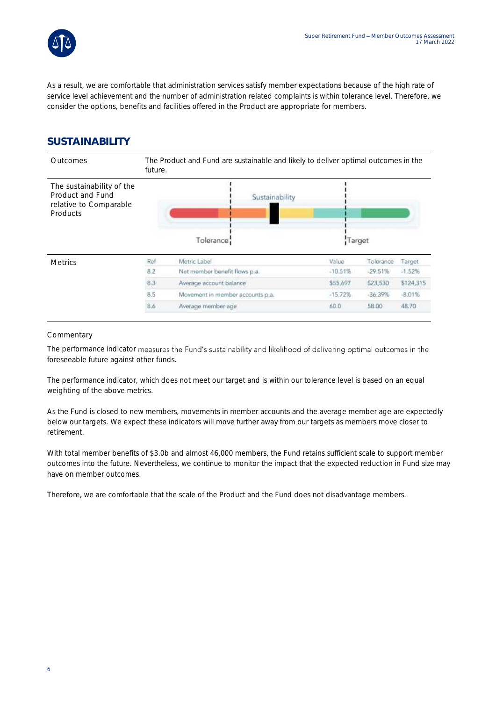

As a result, we are comfortable that administration services satisfy member expectations because of the high rate of service level achievement and the number of administration related complaints is within tolerance level. Therefore, we consider the options, benefits and facilities offered in the Product are appropriate for members.

### **SUSTAINABILITY**

| Outcomes                                                                            | The Product and Fund are sustainable and likely to deliver optimal outcomes in the<br>future. |                                  |           |           |           |  |  |
|-------------------------------------------------------------------------------------|-----------------------------------------------------------------------------------------------|----------------------------------|-----------|-----------|-----------|--|--|
| The sustainability of the<br>Product and Fund<br>relative to Comparable<br>Products |                                                                                               | Sustainability<br>Tolerance      | Target    |           |           |  |  |
| <b>Metrics</b>                                                                      | Ref                                                                                           | Metric Label                     | Value     | Tolerance | Target.   |  |  |
|                                                                                     | 8.2                                                                                           | Net member benefit flows p.a.    | $-10.51%$ | $-29.51%$ | $-1.52%$  |  |  |
|                                                                                     | 8.3                                                                                           | Average account balance          | \$55,697  | \$23,530  | \$124,315 |  |  |
|                                                                                     | 8.5                                                                                           | Movement in member accounts p.a. | $-15.72%$ | $-36.39%$ | $-8.01%$  |  |  |
|                                                                                     | 8.6                                                                                           | Average member age               | 60.0      | 58.00     | 48.70     |  |  |

#### **Commentary**

The performance indicator measures the Fund's sustainability and likelihood of delivering optimal outcomes in the foreseeable future against other funds.

The performance indicator, which does not meet our target and is within our tolerance level is based on an equal weighting of the above metrics.

As the Fund is closed to new members, movements in member accounts and the average member age are expectedly below our targets. We expect these indicators will move further away from our targets as members move closer to retirement.

With total member benefits of \$3.0b and almost 46,000 members, the Fund retains sufficient scale to support member outcomes into the future. Nevertheless, we continue to monitor the impact that the expected reduction in Fund size may have on member outcomes.

Therefore, we are comfortable that the scale of the Product and the Fund does not disadvantage members.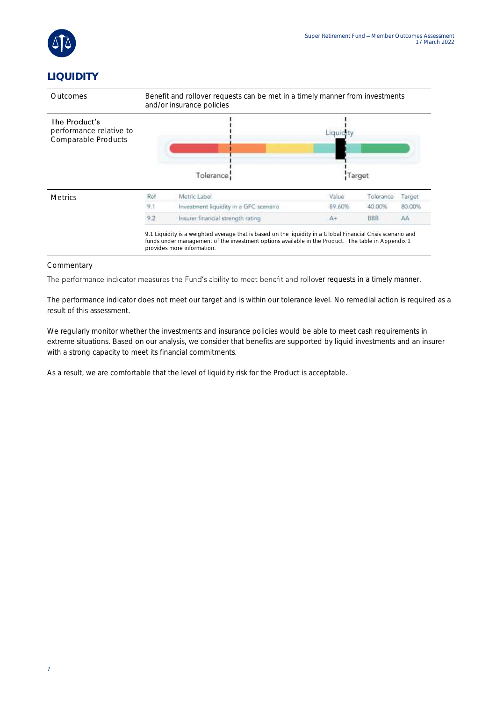

## **LIQUIDITY**



#### **Commentary**

The performance indicator measures the Fund's ability to meet benefit and rollover requests in a timely manner.

The performance indicator does not meet our target and is within our tolerance level. No remedial action is required as a result of this assessment.

We regularly monitor whether the investments and insurance policies would be able to meet cash requirements in extreme situations. Based on our analysis, we consider that benefits are supported by liquid investments and an insurer with a strong capacity to meet its financial commitments.

As a result, we are comfortable that the level of liquidity risk for the Product is acceptable.